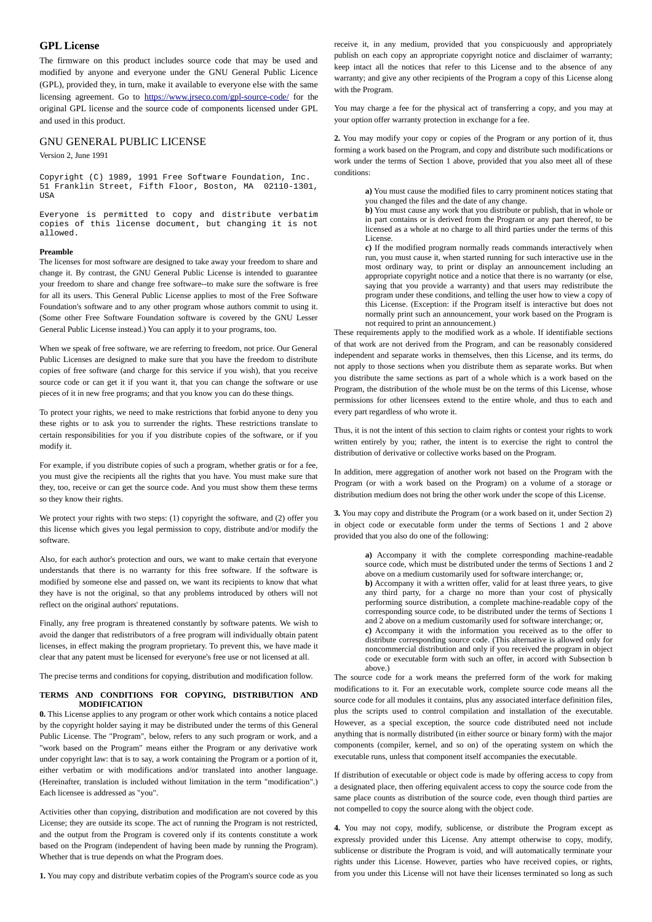# **GPL License**

The firmware on this product includes source code that may be used and modified by anyone and everyone under the GNU General Public Licence (GPL), provided they, in turn, make it available to everyone else with the same licensing agreement. Go to<https://www.jrseco.com/gpl-source-code/>for the original GPL license and the source code of components licensed under GPL and used in this product.

## GNU GENERAL PUBLIC LICENSE

Version 2, June 1991

Copyright (C) 1989, 1991 Free Software Foundation, Inc. 51 Franklin Street, Fifth Floor, Boston, MA 02110-1301, USA

Everyone is permitted to copy and distribute verbatim copies of this license document, but changing it is not allowed.

#### **Preamble**

The licenses for most software are designed to take away your freedom to share and change it. By contrast, the GNU General Public License is intended to guarantee your freedom to share and change free software--to make sure the software is free for all its users. This General Public License applies to most of the Free Software Foundation's software and to any other program whose authors commit to using it. (Some other Free Software Foundation software is covered by the GNU Lesser General Public License instead.) You can apply it to your programs, too.

When we speak of free software, we are referring to freedom, not price. Our General Public Licenses are designed to make sure that you have the freedom to distribute copies of free software (and charge for this service if you wish), that you receive source code or can get it if you want it, that you can change the software or use pieces of it in new free programs; and that you know you can do these things.

To protect your rights, we need to make restrictions that forbid anyone to deny you these rights or to ask you to surrender the rights. These restrictions translate to certain responsibilities for you if you distribute copies of the software, or if you modify it.

For example, if you distribute copies of such a program, whether gratis or for a fee, you must give the recipients all the rights that you have. You must make sure that they, too, receive or can get the source code. And you must show them these terms so they know their rights.

We protect your rights with two steps: (1) copyright the software, and (2) offer you this license which gives you legal permission to copy, distribute and/or modify the software.

Also, for each author's protection and ours, we want to make certain that everyone understands that there is no warranty for this free software. If the software is modified by someone else and passed on, we want its recipients to know that what they have is not the original, so that any problems introduced by others will not reflect on the original authors' reputations.

Finally, any free program is threatened constantly by software patents. We wish to avoid the danger that redistributors of a free program will individually obtain patent licenses, in effect making the program proprietary. To prevent this, we have made it clear that any patent must be licensed for everyone's free use or not licensed at all.

The precise terms and conditions for copying, distribution and modification follow.

#### **TERMS AND CONDITIONS FOR COPYING, DISTRIBUTION AND MODIFICATION**

**0.** This License applies to any program or other work which contains a notice placed by the copyright holder saying it may be distributed under the terms of this General Public License. The "Program", below, refers to any such program or work, and a "work based on the Program" means either the Program or any derivative work under copyright law: that is to say, a work containing the Program or a portion of it, either verbatim or with modifications and/or translated into another language. (Hereinafter, translation is included without limitation in the term "modification".) Each licensee is addressed as "you".

Activities other than copying, distribution and modification are not covered by this License; they are outside its scope. The act of running the Program is not restricted, and the output from the Program is covered only if its contents constitute a work based on the Program (independent of having been made by running the Program). Whether that is true depends on what the Program does.

**1.** You may copy and distribute verbatim copies of the Program's source code as you

receive it, in any medium, provided that you conspicuously and appropriately publish on each copy an appropriate copyright notice and disclaimer of warranty; keep intact all the notices that refer to this License and to the absence of any warranty; and give any other recipients of the Program a copy of this License along with the Program.

You may charge a fee for the physical act of transferring a copy, and you may at your option offer warranty protection in exchange for a fee.

**2.** You may modify your copy or copies of the Program or any portion of it, thus forming a work based on the Program, and copy and distribute such modifications or work under the terms of Section 1 above, provided that you also meet all of these conditions:

> **a)** You must cause the modified files to carry prominent notices stating that you changed the files and the date of any change.

> **b)** You must cause any work that you distribute or publish, that in whole or in part contains or is derived from the Program or any part thereof, to be licensed as a whole at no charge to all third parties under the terms of this License.

> **c)** If the modified program normally reads commands interactively when run, you must cause it, when started running for such interactive use in the most ordinary way, to print or display an announcement including an appropriate copyright notice and a notice that there is no warranty (or else, saying that you provide a warranty) and that users may redistribute the program under these conditions, and telling the user how to view a copy of this License. (Exception: if the Program itself is interactive but does not normally print such an announcement, your work based on the Program is not required to print an announcement.)

These requirements apply to the modified work as a whole. If identifiable sections of that work are not derived from the Program, and can be reasonably considered independent and separate works in themselves, then this License, and its terms, do not apply to those sections when you distribute them as separate works. But when you distribute the same sections as part of a whole which is a work based on the Program, the distribution of the whole must be on the terms of this License, whose permissions for other licensees extend to the entire whole, and thus to each and every part regardless of who wrote it.

Thus, it is not the intent of this section to claim rights or contest your rights to work written entirely by you; rather, the intent is to exercise the right to control the distribution of derivative or collective works based on the Program.

In addition, mere aggregation of another work not based on the Program with the Program (or with a work based on the Program) on a volume of a storage or distribution medium does not bring the other work under the scope of this License.

**3.** You may copy and distribute the Program (or a work based on it, under Section 2) in object code or executable form under the terms of Sections 1 and 2 above provided that you also do one of the following:

**a)** Accompany it with the complete corresponding machine-readable source code, which must be distributed under the terms of Sections 1 and 2 above on a medium customarily used for software interchange; or, **b)** Accompany it with a written offer, valid for at least three years, to give any third party, for a charge no more than your cost of physically performing source distribution, a complete machine-readable copy of the corresponding source code, to be distributed under the terms of Sections 1 and 2 above on a medium customarily used for software interchange; or, **c)** Accompany it with the information you received as to the offer to distribute corresponding source code. (This alternative is allowed only for noncommercial distribution and only if you received the program in object code or executable form with such an offer, in accord with Subsection b above.)

The source code for a work means the preferred form of the work for making modifications to it. For an executable work, complete source code means all the source code for all modules it contains, plus any associated interface definition files, plus the scripts used to control compilation and installation of the executable. However, as a special exception, the source code distributed need not include anything that is normally distributed (in either source or binary form) with the major components (compiler, kernel, and so on) of the operating system on which the executable runs, unless that component itself accompanies the executable.

If distribution of executable or object code is made by offering access to copy from a designated place, then offering equivalent access to copy the source code from the same place counts as distribution of the source code, even though third parties are not compelled to copy the source along with the object code.

**4.** You may not copy, modify, sublicense, or distribute the Program except as expressly provided under this License. Any attempt otherwise to copy, modify, sublicense or distribute the Program is void, and will automatically terminate your rights under this License. However, parties who have received copies, or rights, from you under this License will not have their licenses terminated so long as such